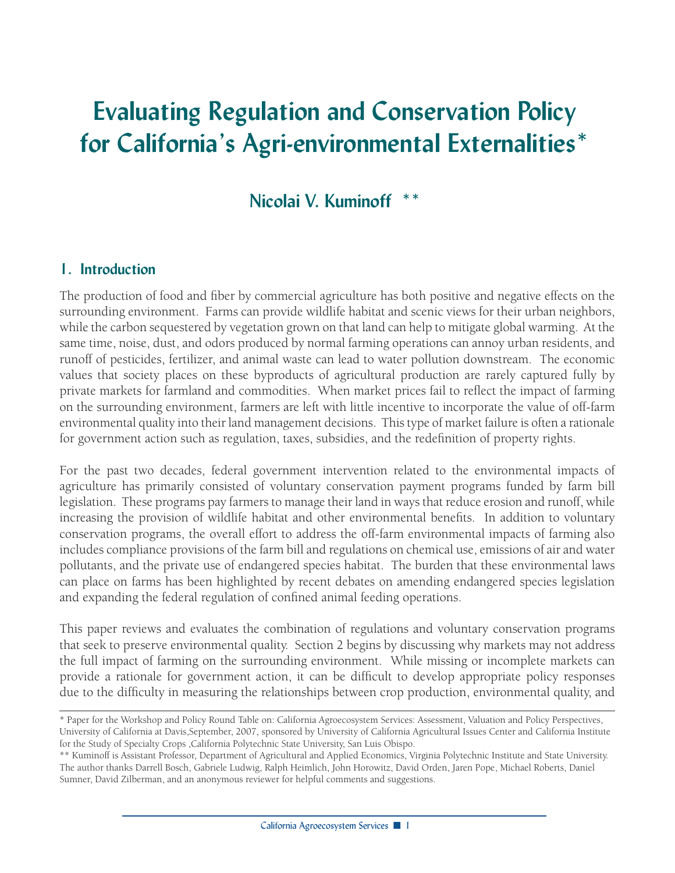# **Evaluating Regulation and Conservation Policy for California's Agri-environmental Externalities\***

## **Nicolai V. Kuminoff \*\***

#### **1. Introduction**

The production of food and fiber by commercial agriculture has both positive and negative effects on the surrounding environment. Farms can provide wildlife habitat and scenic views for their urban neighbors, while the carbon sequestered by vegetation grown on that land can help to mitigate global warming. At the same time, noise, dust, and odors produced by normal farming operations can annoy urban residents, and runoff of pesticides, fertilizer, and animal waste can lead to water pollution downstream. The economic values that society places on these byproducts of agricultural production are rarely captured fully by private markets for farmland and commodities. When market prices fail to reflect the impact of farming on the surrounding environment, farmers are left with little incentive to incorporate the value of off-farm environmental quality into their land management decisions. This type of market failure is often a rationale for government action such as regulation, taxes, subsidies, and the redefinition of property rights.

For the past two decades, federal government intervention related to the environmental impacts of agriculture has primarily consisted of voluntary conservation payment programs funded by farm bill legislation. These programs pay farmers to manage their land in ways that reduce erosion and runoff, while increasing the provision of wildlife habitat and other environmental benefits. In addition to voluntary conservation programs, the overall effort to address the off-farm environmental impacts of farming also includes compliance provisions of the farm bill and regulations on chemical use, emissions of air and water pollutants, and the private use of endangered species habitat. The burden that these environmental laws can place on farms has been highlighted by recent debates on amending endangered species legislation and expanding the federal regulation of confined animal feeding operations.

This paper reviews and evaluates the combination of regulations and voluntary conservation programs that seek to preserve environmental quality. Section 2 begins by discussing why markets may not address the full impact of farming on the surrounding environment. While missing or incomplete markets can provide a rationale for government action, it can be difficult to develop appropriate policy responses due to the difficulty in measuring the relationships between crop production, environmental quality, and

<sup>\*</sup> Paper for the Workshop and Policy Round Table on: California Agroecosystem Services: Assessment, Valuation and Policy Perspectives, University of California at Davis,September, 2007, sponsored by University of California Agricultural Issues Center and California Institute for the Study of Specialty Crops ,California Polytechnic State University, San Luis Obispo.

<sup>\*\*</sup> Kuminoff is Assistant Professor, Department of Agricultural and Applied Economics, Virginia Polytechnic Institute and State University. The author thanks Darrell Bosch, Gabriele Ludwig, Ralph Heimlich, John Horowitz, David Orden, Jaren Pope, Michael Roberts, Daniel Sumner, David Zilberman, and an anonymous reviewer for helpful comments and suggestions.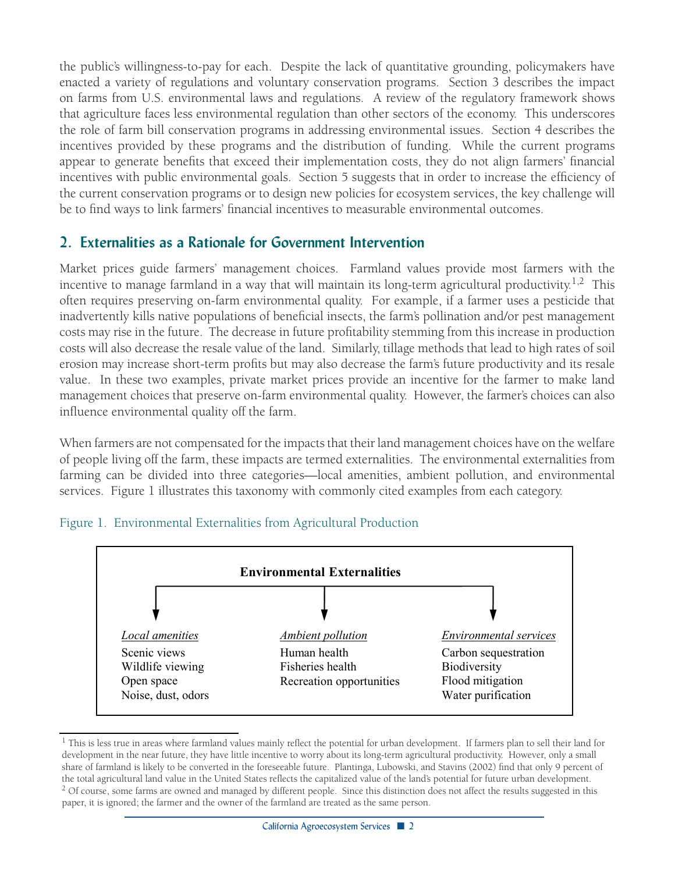the public's willingness-to-pay for each. Despite the lack of quantitative grounding, policymakers have enacted a variety of regulations and voluntary conservation programs. Section 3 describes the impact on farms from U.S. environmental laws and regulations. A review of the regulatory framework shows that agriculture faces less environmental regulation than other sectors of the economy. This underscores the role of farm bill conservation programs in addressing environmental issues. Section 4 describes the incentives provided by these programs and the distribution of funding. While the current programs appear to generate benefits that exceed their implementation costs, they do not align farmers' financial incentives with public environmental goals. Section 5 suggests that in order to increase the efficiency of the current conservation programs or to design new policies for ecosystem services, the key challenge will be to find ways to link farmers' financial incentives to measurable environmental outcomes.

#### **2. Externalities as a Rationale for Government Intervention**

Market prices guide farmers' management choices. Farmland values provide most farmers with the incentive to manage farmland in a way that will maintain its long-term agricultural productivity.<sup>1,2</sup> This often requires preserving on-farm environmental quality. For example, if a farmer uses a pesticide that inadvertently kills native populations of beneficial insects, the farm's pollination and/or pest management costs may rise in the future. The decrease in future profitability stemming from this increase in production costs will also decrease the resale value of the land. Similarly, tillage methods that lead to high rates of soil erosion may increase short-term profits but may also decrease the farm's future productivity and its resale value. In these two examples, private market prices provide an incentive for the farmer to make land management choices that preserve on-farm environmental quality. However, the farmer's choices can also influence environmental quality off the farm.

When farmers are not compensated for the impacts that their land management choices have on the welfare of people living off the farm, these impacts are termed externalities. The environmental externalities from farming can be divided into three categories—local amenities, ambient pollution, and environmental services. Figure 1 illustrates this taxonomy with commonly cited examples from each category.



#### Figure 1. Environmental Externalities from Agricultural Production

<sup>&</sup>lt;sup>1</sup> This is less true in areas where farmland values mainly reflect the potential for urban development. If farmers plan to sell their land for development in the near future, they have little incentive to worry about its long-term agricultural productivity. However, only a small share of farmland is likely to be converted in the foreseeable future. Plantinga, Lubowski, and Stavins (2002) find that only 9 percent of the total agricultural land value in the United States reflects the capitalized value of the land's potential for future urban development. <sup>2</sup> Of course, some farms are owned and managed by different people. Since this distinction does not affect the results suggested in this paper, it is ignored; the farmer and the owner of the farmland are treated as the same person.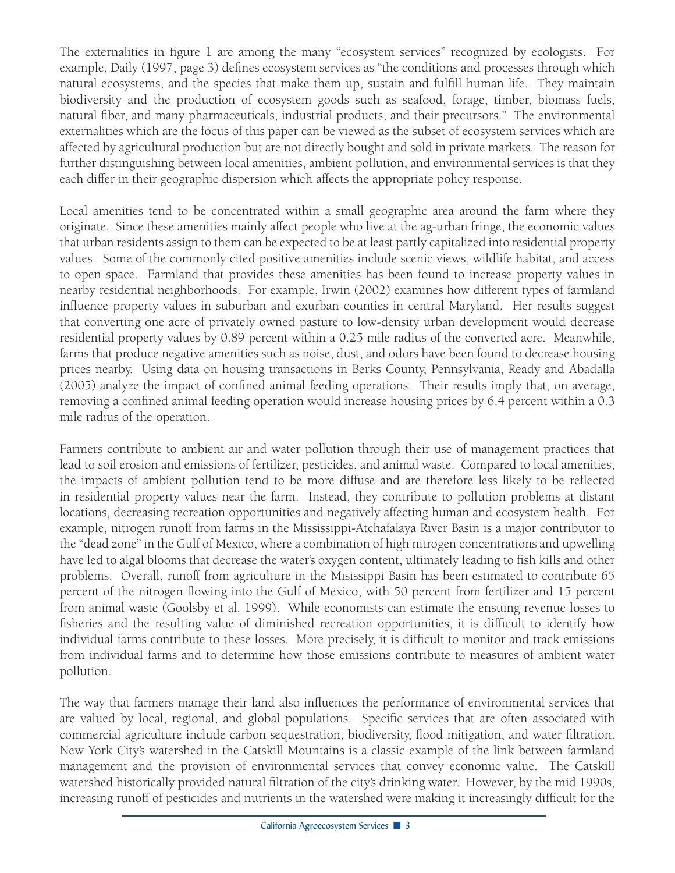The externalities in figure 1 are among the many "ecosystem services" recognized by ecologists. For example, Daily (1997, page 3) defines ecosystem services as "the conditions and processes through which natural ecosystems, and the species that make them up, sustain and fulfill human life. They maintain biodiversity and the production of ecosystem goods such as seafood, forage, timber, biomass fuels, natural fiber, and many pharmaceuticals, industrial products, and their precursors." The environmental externalities which are the focus of this paper can be viewed as the subset of ecosystem services which are affected by agricultural production but are not directly bought and sold in private markets. The reason for further distinguishing between local amenities, ambient pollution, and environmental services is that they each differ in their geographic dispersion which affects the appropriate policy response.

Local amenities tend to be concentrated within a small geographic area around the farm where they originate. Since these amenities mainly affect people who live at the ag-urban fringe, the economic values that urban residents assign to them can be expected to be at least partly capitalized into residential property values. Some of the commonly cited positive amenities include scenic views, wildlife habitat, and access to open space. Farmland that provides these amenities has been found to increase property values in nearby residential neighborhoods. For example, Irwin (2002) examines how different types of farmland influence property values in suburban and exurban counties in central Maryland. Her results suggest that converting one acre of privately owned pasture to low-density urban development would decrease residential property values by 0.89 percent within a 0.25 mile radius of the converted acre. Meanwhile, farms that produce negative amenities such as noise, dust, and odors have been found to decrease housing prices nearby. Using data on housing transactions in Berks County, Pennsylvania, Ready and Abadalla (2005) analyze the impact of confined animal feeding operations. Their results imply that, on average, removing a confined animal feeding operation would increase housing prices by 6.4 percent within a 0.3 mile radius of the operation.

Farmers contribute to ambient air and water pollution through their use of management practices that lead to soil erosion and emissions of fertilizer, pesticides, and animal waste. Compared to local amenities, the impacts of ambient pollution tend to be more diffuse and are therefore less likely to be reflected in residential property values near the farm. Instead, they contribute to pollution problems at distant locations, decreasing recreation opportunities and negatively affecting human and ecosystem health. For example, nitrogen runoff from farms in the Mississippi-Atchafalaya River Basin is a major contributor to the "dead zone" in the Gulf of Mexico, where a combination of high nitrogen concentrations and upwelling have led to algal blooms that decrease the water's oxygen content, ultimately leading to fish kills and other problems. Overall, runoff from agriculture in the Misissippi Basin has been estimated to contribute 65 percent of the nitrogen flowing into the Gulf of Mexico, with 50 percent from fertilizer and 15 percent from animal waste (Goolsby et al. 1999). While economists can estimate the ensuing revenue losses to fisheries and the resulting value of diminished recreation opportunities, it is difficult to identify how individual farms contribute to these losses. More precisely, it is difficult to monitor and track emissions from individual farms and to determine how those emissions contribute to measures of ambient water pollution.

The way that farmers manage their land also influences the performance of environmental services that are valued by local, regional, and global populations. Specific services that are often associated with commercial agriculture include carbon sequestration, biodiversity, flood mitigation, and water filtration. New York City's watershed in the Catskill Mountains is a classic example of the link between farmland management and the provision of environmental services that convey economic value. The Catskill watershed historically provided natural filtration of the city's drinking water. However, by the mid 1990s, increasing runoff of pesticides and nutrients in the watershed were making it increasingly difficult for the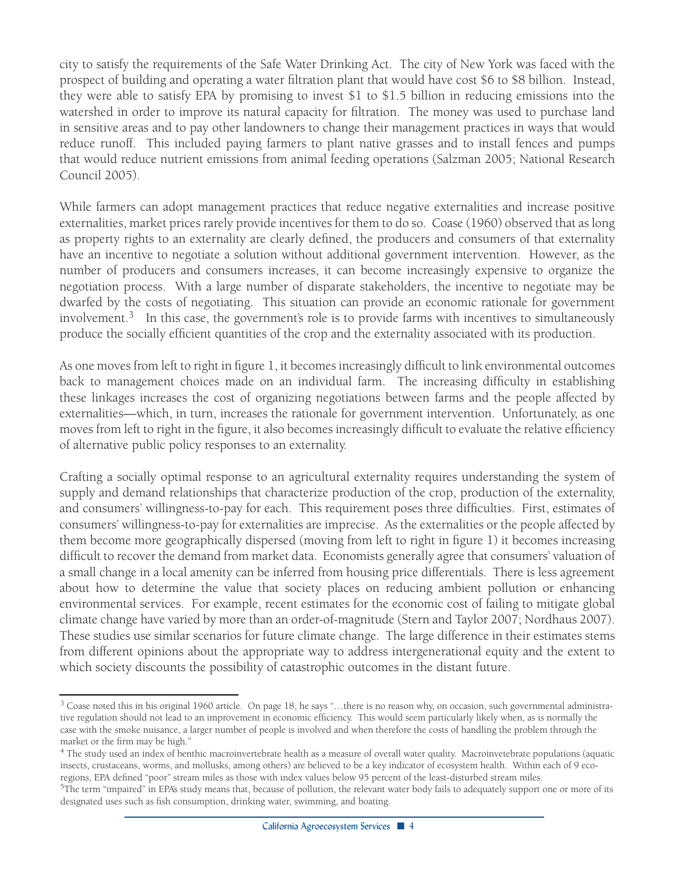city to satisfy the requirements of the Safe Water Drinking Act. The city of New York was faced with the prospect of building and operating a water filtration plant that would have cost \$6 to \$8 billion. Instead, they were able to satisfy EPA by promising to invest \$1 to \$1.5 billion in reducing emissions into the watershed in order to improve its natural capacity for filtration. The money was used to purchase land in sensitive areas and to pay other landowners to change their management practices in ways that would reduce runoff. This included paying farmers to plant native grasses and to install fences and pumps that would reduce nutrient emissions from animal feeding operations (Salzman 2005; National Research Council 2005).

While farmers can adopt management practices that reduce negative externalities and increase positive externalities, market prices rarely provide incentives for them to do so. Coase (1960) observed that as long as property rights to an externality are clearly defined, the producers and consumers of that externality have an incentive to negotiate a solution without additional government intervention. However, as the number of producers and consumers increases, it can become increasingly expensive to organize the negotiation process. With a large number of disparate stakeholders, the incentive to negotiate may be dwarfed by the costs of negotiating. This situation can provide an economic rationale for government involvement.<sup>3</sup> In this case, the government's role is to provide farms with incentives to simultaneously produce the socially efficient quantities of the crop and the externality associated with its production.

As one moves from left to right in figure 1, it becomes increasingly difficult to link environmental outcomes back to management choices made on an individual farm. The increasing difficulty in establishing these linkages increases the cost of organizing negotiations between farms and the people affected by externalities—which, in turn, increases the rationale for government intervention. Unfortunately, as one moves from left to right in the figure, it also becomes increasingly difficult to evaluate the relative efficiency of alternative public policy responses to an externality.

Crafting a socially optimal response to an agricultural externality requires understanding the system of supply and demand relationships that characterize production of the crop, production of the externality, and consumers' willingness-to-pay for each. This requirement poses three difficulties. First, estimates of consumers' willingness-to-pay for externalities are imprecise. As the externalities or the people affected by them become more geographically dispersed (moving from left to right in figure 1) it becomes increasing difficult to recover the demand from market data. Economists generally agree that consumers' valuation of a small change in a local amenity can be inferred from housing price differentials. There is less agreement about how to determine the value that society places on reducing ambient pollution or enhancing environmental services. For example, recent estimates for the economic cost of failing to mitigate global climate change have varied by more than an order-of-magnitude (Stern and Taylor 2007; Nordhaus 2007). These studies use similar scenarios for future climate change. The large difference in their estimates stems from different opinions about the appropriate way to address intergenerational equity and the extent to which society discounts the possibility of catastrophic outcomes in the distant future.

 $3$  Coase noted this in his original 1960 article. On page 18, he says "...there is no reason why, on occasion, such governmental administrative regulation should not lead to an improvement in economic efficiency. This would seem particularly likely when, as is normally the case with the smoke nuisance, a larger number of people is involved and when therefore the costs of handling the problem through the market or the firm may be high."

<sup>4</sup> The study used an index of benthic macroinvertebrate health as a measure of overall water quality. Macroinvetebrate populations (aquatic insects, crustaceans, worms, and mollusks, among others) are believed to be a key indicator of ecosystem health. Within each of 9 ecoregions, EPA defined "poor" stream miles as those with index values below 95 percent of the least-disturbed stream miles.

<sup>&</sup>lt;sup>5</sup>The term "impaired" in EPA's study means that, because of pollution, the relevant water body fails to adequately support one or more of its designated uses such as fish consumption, drinking water, swimming, and boating.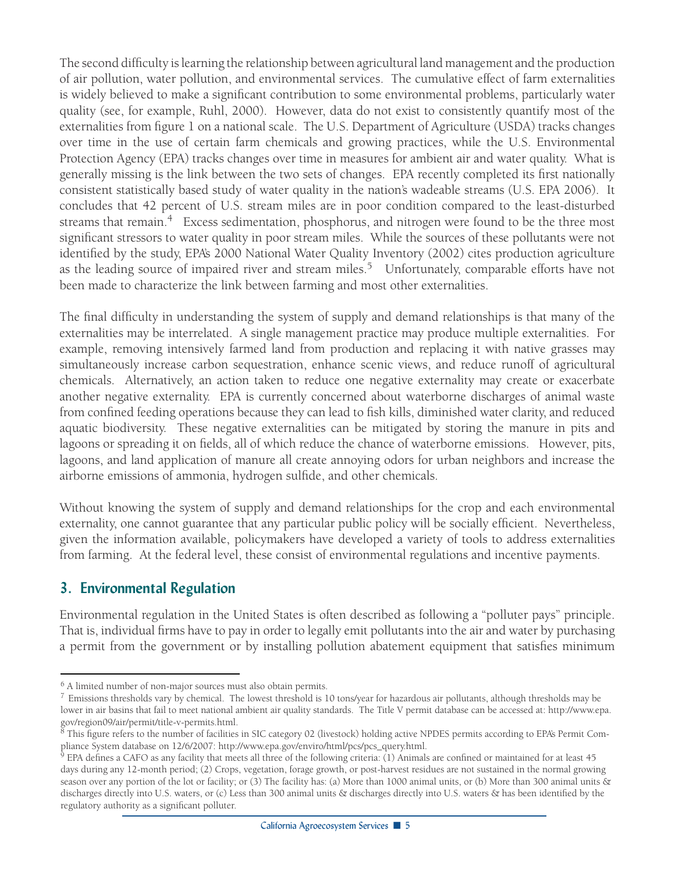The second difficulty is learning the relationship between agricultural land management and the production of air pollution, water pollution, and environmental services. The cumulative effect of farm externalities is widely believed to make a significant contribution to some environmental problems, particularly water quality (see, for example, Ruhl, 2000). However, data do not exist to consistently quantify most of the externalities from figure 1 on a national scale. The U.S. Department of Agriculture (USDA) tracks changes over time in the use of certain farm chemicals and growing practices, while the U.S. Environmental Protection Agency (EPA) tracks changes over time in measures for ambient air and water quality. What is generally missing is the link between the two sets of changes. EPA recently completed its first nationally consistent statistically based study of water quality in the nation's wadeable streams (U.S. EPA 2006). It concludes that 42 percent of U.S. stream miles are in poor condition compared to the least-disturbed streams that remain.<sup>4</sup> Excess sedimentation, phosphorus, and nitrogen were found to be the three most significant stressors to water quality in poor stream miles. While the sources of these pollutants were not identified by the study, EPA's 2000 National Water Quality Inventory (2002) cites production agriculture as the leading source of impaired river and stream miles.<sup>5</sup> Unfortunately, comparable efforts have not been made to characterize the link between farming and most other externalities.

The final difficulty in understanding the system of supply and demand relationships is that many of the externalities may be interrelated. A single management practice may produce multiple externalities. For example, removing intensively farmed land from production and replacing it with native grasses may simultaneously increase carbon sequestration, enhance scenic views, and reduce runoff of agricultural chemicals. Alternatively, an action taken to reduce one negative externality may create or exacerbate another negative externality. EPA is currently concerned about waterborne discharges of animal waste from confined feeding operations because they can lead to fish kills, diminished water clarity, and reduced aquatic biodiversity. These negative externalities can be mitigated by storing the manure in pits and lagoons or spreading it on fields, all of which reduce the chance of waterborne emissions. However, pits, lagoons, and land application of manure all create annoying odors for urban neighbors and increase the airborne emissions of ammonia, hydrogen sulfide, and other chemicals.

Without knowing the system of supply and demand relationships for the crop and each environmental externality, one cannot guarantee that any particular public policy will be socially efficient. Nevertheless, given the information available, policymakers have developed a variety of tools to address externalities from farming. At the federal level, these consist of environmental regulations and incentive payments.

#### **3. Environmental Regulation**

Environmental regulation in the United States is often described as following a "polluter pays" principle. That is, individual firms have to pay in order to legally emit pollutants into the air and water by purchasing a permit from the government or by installing pollution abatement equipment that satisfies minimum

<sup>6</sup> A limited number of non-major sources must also obtain permits.

<sup>&</sup>lt;sup>7</sup> Emissions thresholds vary by chemical. The lowest threshold is 10 tons/year for hazardous air pollutants, although thresholds may be lower in air basins that fail to meet national ambient air quality standards. The Title V permit database can be accessed at: http://www.epa. gov/region09/air/permit/title-v-permits.html.

 $8$  This figure refers to the number of facilities in SIC category 02 (livestock) holding active NPDES permits according to EPA's Permit Compliance System database on 12/6/2007: http://www.epa.gov/enviro/html/pcs/pcs\_query.html.

 $9$  EPA defines a CAFO as any facility that meets all three of the following criteria: (1) Animals are confined or maintained for at least 45 days during any 12-month period; (2) Crops, vegetation, forage growth, or post-harvest residues are not sustained in the normal growing season over any portion of the lot or facility; or (3) The facility has: (a) More than 1000 animal units, or (b) More than 300 animal units & discharges directly into U.S. waters, or (c) Less than 300 animal units & discharges directly into U.S. waters & has been identified by the regulatory authority as a significant polluter.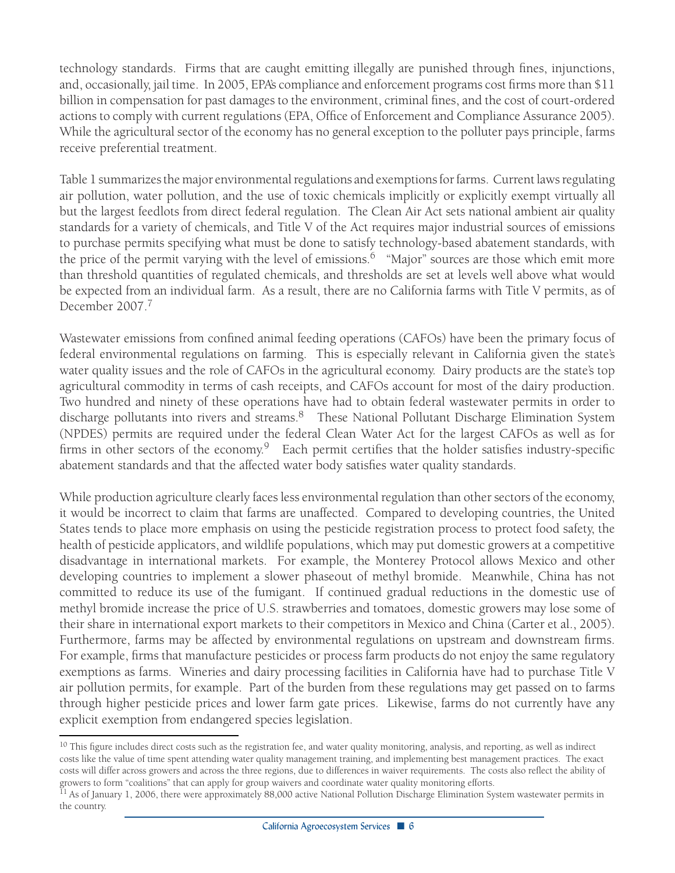technology standards. Firms that are caught emitting illegally are punished through fines, injunctions, and, occasionally, jail time. In 2005, EPA's compliance and enforcement programs cost firms more than \$11 billion in compensation for past damages to the environment, criminal fines, and the cost of court-ordered actions to comply with current regulations (EPA, Office of Enforcement and Compliance Assurance 2005). While the agricultural sector of the economy has no general exception to the polluter pays principle, farms receive preferential treatment.

Table 1 summarizes the major environmental regulations and exemptions for farms. Current laws regulating air pollution, water pollution, and the use of toxic chemicals implicitly or explicitly exempt virtually all but the largest feedlots from direct federal regulation. The Clean Air Act sets national ambient air quality standards for a variety of chemicals, and Title V of the Act requires major industrial sources of emissions to purchase permits specifying what must be done to satisfy technology-based abatement standards, with the price of the permit varying with the level of emissions.<sup>6</sup> "Major" sources are those which emit more than threshold quantities of regulated chemicals, and thresholds are set at levels well above what would be expected from an individual farm. As a result, there are no California farms with Title V permits, as of December 2007.<sup>7</sup>

Wastewater emissions from confined animal feeding operations (CAFOs) have been the primary focus of federal environmental regulations on farming. This is especially relevant in California given the state's water quality issues and the role of CAFOs in the agricultural economy. Dairy products are the state's top agricultural commodity in terms of cash receipts, and CAFOs account for most of the dairy production. Two hundred and ninety of these operations have had to obtain federal wastewater permits in order to discharge pollutants into rivers and streams.<sup>8</sup> These National Pollutant Discharge Elimination System (NPDES) permits are required under the federal Clean Water Act for the largest CAFOs as well as for firms in other sectors of the economy.<sup>9</sup> Each permit certifies that the holder satisfies industry-specific abatement standards and that the affected water body satisfies water quality standards.

While production agriculture clearly faces less environmental regulation than other sectors of the economy, it would be incorrect to claim that farms are unaffected. Compared to developing countries, the United States tends to place more emphasis on using the pesticide registration process to protect food safety, the health of pesticide applicators, and wildlife populations, which may put domestic growers at a competitive disadvantage in international markets. For example, the Monterey Protocol allows Mexico and other developing countries to implement a slower phaseout of methyl bromide. Meanwhile, China has not committed to reduce its use of the fumigant. If continued gradual reductions in the domestic use of methyl bromide increase the price of U.S. strawberries and tomatoes, domestic growers may lose some of their share in international export markets to their competitors in Mexico and China (Carter et al., 2005). Furthermore, farms may be affected by environmental regulations on upstream and downstream firms. For example, firms that manufacture pesticides or process farm products do not enjoy the same regulatory exemptions as farms. Wineries and dairy processing facilities in California have had to purchase Title V air pollution permits, for example. Part of the burden from these regulations may get passed on to farms through higher pesticide prices and lower farm gate prices. Likewise, farms do not currently have any explicit exemption from endangered species legislation.

<sup>&</sup>lt;sup>10</sup> This figure includes direct costs such as the registration fee, and water quality monitoring, analysis, and reporting, as well as indirect costs like the value of time spent attending water quality management training, and implementing best management practices. The exact costs will differ across growers and across the three regions, due to differences in waiver requirements. The costs also reflect the ability of growers to form "coalitions" that can apply for group waivers and coordinate water quality monitoring efforts.

 $11$  As of January 1, 2006, there were approximately 88,000 active National Pollution Discharge Elimination System wastewater permits in the country.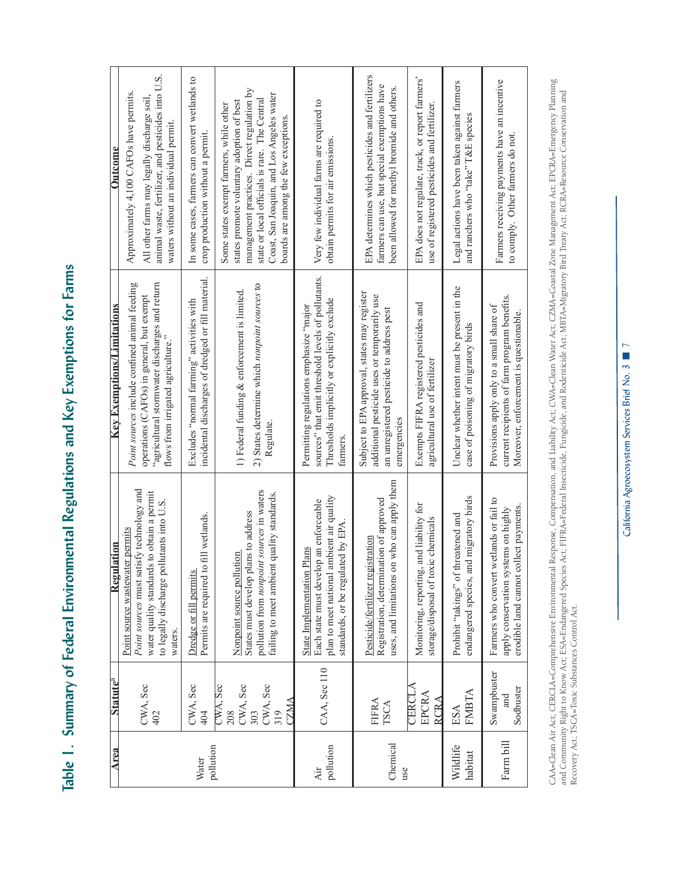Table 1. Summary of Federal Environmental Regulations and Key Exemptions for Farms **Table 1. Summary of Federal Environmental Regulations and Key Exemptions for Farms**

| Area                | <b>Statute<sup>a</sup></b>                                    | Regulation                                                                                                                                                                          | <b>Key Exemptions/Limitations</b>                                                                                                                                                 | Outcome                                                                                                                                                                                                                                                                 |
|---------------------|---------------------------------------------------------------|-------------------------------------------------------------------------------------------------------------------------------------------------------------------------------------|-----------------------------------------------------------------------------------------------------------------------------------------------------------------------------------|-------------------------------------------------------------------------------------------------------------------------------------------------------------------------------------------------------------------------------------------------------------------------|
|                     | CWA, Sec<br>402                                               | Point sources must satisfy technology and<br>to obtain a permit<br>to legally discharge pollutants into U.S<br>Point source wastewater permits<br>water quality standards<br>waters | Point sources include confined animal feeding<br>agricultural stormwater discharges and return<br>operations (CAFOs) in general, but exempt<br>flows from irrigated agriculture." | animal waste, fertilizer, and pesticides into U.S.<br>Approximately 4,100 CAFOs have permits.<br>All other farms may legally discharge soil,<br>waters without an individual permit.                                                                                    |
| pollution<br>Water  | CWA, Sec<br>404                                               | Permits are required to fill wetlands.<br>Dredge or fill permits                                                                                                                    | incidental discharges of dredged or fill material<br>Excludes "normal farming" activities with                                                                                    | In some cases, farmers can convert wetlands to<br>crop production without a permit                                                                                                                                                                                      |
|                     | CWA, Sec<br>CWA, Sec<br>CWA, Sec<br>CZMA<br>303<br>319<br>208 | pollution from <i>nonpoint sources</i> in waters<br>failing to meet ambient quality standards<br>States must develop plans to address<br>Nonpoint source pollution                  | 2) States determine which nonpoint sources to<br>1) Federal funding & enforcement is limited<br>Regulate.                                                                         | management practices. Direct regulation by<br>Coast, San Joaquin, and Los Angeles water<br>state or local officials is rare. The Central<br>states promote voluntary adoption of best<br>Some states exempt farmers, while other<br>boards are among the few exceptions |
| pollution<br>Air    | CAA, Sec 110                                                  | plan to meet national ambient air quality<br>Each state must develop an enforceable<br>standards, or be regulated by EPA<br>ans<br>State Implementation Pl                          | sources" that emit threshold levels of pollutants.<br>Thresholds implicitly or explicitly exclude<br>Permitting regulations emphasize "major<br>farmers                           | Very few individual farms are required to<br>obtain permits for air emissions.                                                                                                                                                                                          |
| Chemical<br>use     | FIFRA<br><b>TSCA</b>                                          | who can apply them<br>Registration, determination of approved<br>Pesticide/fertilizer registration<br>uses, and limitations on                                                      | Subject to EPA approval, states may register<br>additional pesticide uses or temporarily use<br>an unregistered pesticide to address pest<br>emergencies                          | EPA determines which pesticides and fertilizers<br>farmers can use, but special exemptions have<br>been allowed for methyl bromide and others.                                                                                                                          |
|                     | CERCLA<br>EPCRA<br><b>RCRA</b>                                | Monitoring, reporting, and liability for<br>chemicals<br>storage/disposal of toxic                                                                                                  | Exempts FIFRA registered pesticides and<br>agricultural use of fertilizer                                                                                                         | EPA does not regulate, track, or report farmers'<br>use of registered pesticides and fertilizer.                                                                                                                                                                        |
| Wildlife<br>habitat | FMBTA<br>ESA                                                  | migratory birds<br>Prohibit "takings" of threatened and<br>endangered species, and                                                                                                  | Unclear whether intent must be present in the<br>case of poisoning of migratory birds                                                                                             | Legal actions have been taken against farmers<br>and ranchers who "take" T&E species                                                                                                                                                                                    |
| Farm bill           | Swampbuster<br>Sodbuster<br>and                               | Farmers who convert wetlands or fail to<br>erodible land cannot collect payments<br>apply conservation systems on highly                                                            | current recipients of farm program benefits.<br>Provisions apply only to a small share of<br>Moreover, enforcement is questionable                                                | Farmers receiving payments have an incentive<br>to comply. Other farmers do not                                                                                                                                                                                         |

CAA=Clean Air Act; CERCLA=Comprehensive Environmental Response, Compensation, and Liability Act; CWA=Clean Water Act; CZMA=Coastal Zone Management Act; EPCRA=Emergency Plaming<br>and Community Right to Know Act; ESA=Endangere CAA=Clean Air Act; CERCLA=Comprehensive Environmental Response, Compensation, and Liability Act; CWA=Clean Water Act; CZMA=Coastal Zone Management Act; EPCRA=Emergency Planning and Community Right to Know Act; ESA=Endangered Species Act; FIFRA=Federal Insecticide, Fungicide, and Rodenticide Act; MBTA=Migratory Bird Treaty Act; RCRA=Resource Conservation and Recovery Act; TSCA=Toxic Substances Control Act.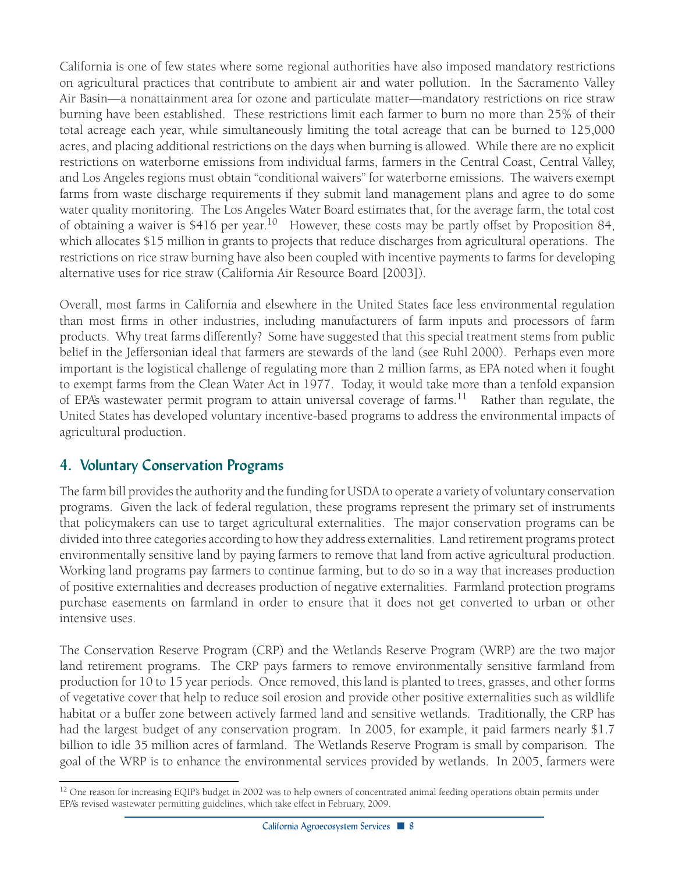California is one of few states where some regional authorities have also imposed mandatory restrictions on agricultural practices that contribute to ambient air and water pollution. In the Sacramento Valley Air Basin—a nonattainment area for ozone and particulate matter—mandatory restrictions on rice straw burning have been established. These restrictions limit each farmer to burn no more than 25% of their total acreage each year, while simultaneously limiting the total acreage that can be burned to 125,000 acres, and placing additional restrictions on the days when burning is allowed. While there are no explicit restrictions on waterborne emissions from individual farms, farmers in the Central Coast, Central Valley, and Los Angeles regions must obtain "conditional waivers" for waterborne emissions. The waivers exempt farms from waste discharge requirements if they submit land management plans and agree to do some water quality monitoring. The Los Angeles Water Board estimates that, for the average farm, the total cost of obtaining a waiver is \$416 per year.<sup>10</sup> However, these costs may be partly offset by Proposition 84, which allocates \$15 million in grants to projects that reduce discharges from agricultural operations. The restrictions on rice straw burning have also been coupled with incentive payments to farms for developing alternative uses for rice straw (California Air Resource Board [2003]).

Overall, most farms in California and elsewhere in the United States face less environmental regulation than most firms in other industries, including manufacturers of farm inputs and processors of farm products. Why treat farms differently? Some have suggested that this special treatment stems from public belief in the Jeffersonian ideal that farmers are stewards of the land (see Ruhl 2000). Perhaps even more important is the logistical challenge of regulating more than 2 million farms, as EPA noted when it fought to exempt farms from the Clean Water Act in 1977. Today, it would take more than a tenfold expansion of EPA's wastewater permit program to attain universal coverage of farms.<sup>11</sup> Rather than regulate, the United States has developed voluntary incentive-based programs to address the environmental impacts of agricultural production.

## **4. Voluntary Conservation Programs**

The farm bill provides the authority and the funding for USDA to operate a variety of voluntary conservation programs. Given the lack of federal regulation, these programs represent the primary set of instruments that policymakers can use to target agricultural externalities. The major conservation programs can be divided into three categories according to how they address externalities. Land retirement programs protect environmentally sensitive land by paying farmers to remove that land from active agricultural production. Working land programs pay farmers to continue farming, but to do so in a way that increases production of positive externalities and decreases production of negative externalities. Farmland protection programs purchase easements on farmland in order to ensure that it does not get converted to urban or other intensive uses.

The Conservation Reserve Program (CRP) and the Wetlands Reserve Program (WRP) are the two major land retirement programs. The CRP pays farmers to remove environmentally sensitive farmland from production for 10 to 15 year periods. Once removed, this land is planted to trees, grasses, and other forms of vegetative cover that help to reduce soil erosion and provide other positive externalities such as wildlife habitat or a buffer zone between actively farmed land and sensitive wetlands. Traditionally, the CRP has had the largest budget of any conservation program. In 2005, for example, it paid farmers nearly \$1.7 billion to idle 35 million acres of farmland. The Wetlands Reserve Program is small by comparison. The goal of the WRP is to enhance the environmental services provided by wetlands. In 2005, farmers were

<sup>&</sup>lt;sup>12</sup> One reason for increasing EQIP's budget in 2002 was to help owners of concentrated animal feeding operations obtain permits under EPA's revised wastewater permitting guidelines, which take effect in February, 2009.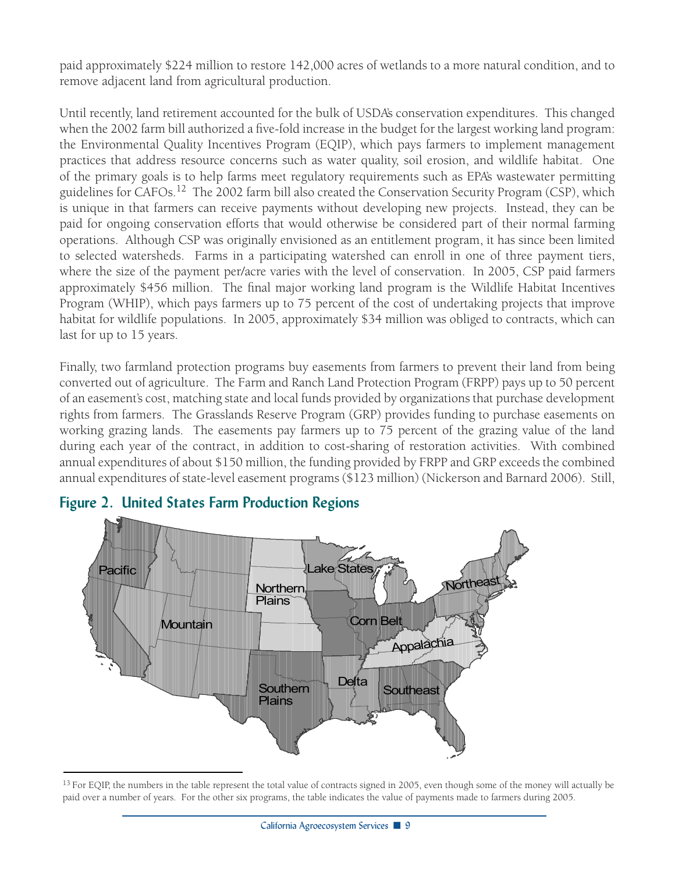paid approximately \$224 million to restore 142,000 acres of wetlands to a more natural condition, and to remove adjacent land from agricultural production.

Until recently, land retirement accounted for the bulk of USDA's conservation expenditures. This changed when the 2002 farm bill authorized a five-fold increase in the budget for the largest working land program: the Environmental Quality Incentives Program (EQIP), which pays farmers to implement management practices that address resource concerns such as water quality, soil erosion, and wildlife habitat. One of the primary goals is to help farms meet regulatory requirements such as EPA's wastewater permitting guidelines for CAFOs.12 The 2002 farm bill also created the Conservation Security Program (CSP), which is unique in that farmers can receive payments without developing new projects. Instead, they can be paid for ongoing conservation efforts that would otherwise be considered part of their normal farming operations. Although CSP was originally envisioned as an entitlement program, it has since been limited to selected watersheds. Farms in a participating watershed can enroll in one of three payment tiers, where the size of the payment per/acre varies with the level of conservation. In 2005, CSP paid farmers approximately \$456 million. The final major working land program is the Wildlife Habitat Incentives Program (WHIP), which pays farmers up to 75 percent of the cost of undertaking projects that improve habitat for wildlife populations. In 2005, approximately \$34 million was obliged to contracts, which can last for up to 15 years.

Finally, two farmland protection programs buy easements from farmers to prevent their land from being converted out of agriculture. The Farm and Ranch Land Protection Program (FRPP) pays up to 50 percent of an easement's cost, matching state and local funds provided by organizations that purchase development rights from farmers. The Grasslands Reserve Program (GRP) provides funding to purchase easements on working grazing lands. The easements pay farmers up to 75 percent of the grazing value of the land during each year of the contract, in addition to cost-sharing of restoration activities. With combined annual expenditures of about \$150 million, the funding provided by FRPP and GRP exceeds the combined annual expenditures of state-level easement programs (\$123 million) (Nickerson and Barnard 2006). Still,



#### **Figure 2. United States Farm Production Regions**

 $^{13}$  For EQIP, the numbers in the table represent the total value of contracts signed in 2005, even though some of the money will actually be paid over a number of years. For the other six programs, the table indicates the value of payments made to farmers during 2005.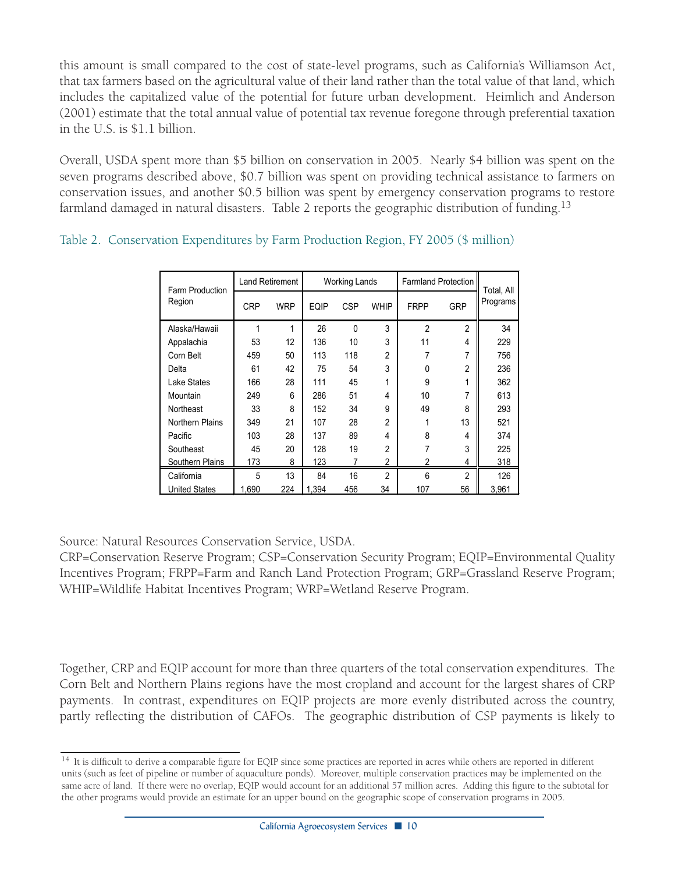this amount is small compared to the cost of state-level programs, such as California's Williamson Act, that tax farmers based on the agricultural value of their land rather than the total value of that land, which includes the capitalized value of the potential for future urban development. Heimlich and Anderson (2001) estimate that the total annual value of potential tax revenue foregone through preferential taxation in the U.S. is \$1.1 billion.

Overall, USDA spent more than \$5 billion on conservation in 2005. Nearly \$4 billion was spent on the seven programs described above, \$0.7 billion was spent on providing technical assistance to farmers on conservation issues, and another \$0.5 billion was spent by emergency conservation programs to restore farmland damaged in natural disasters. Table 2 reports the geographic distribution of funding.<sup>13</sup>

| Farm Production        | <b>Land Retirement</b> |            |       | <b>Working Lands</b> |                | <b>Farmland Protection</b> | Total, All     |          |  |
|------------------------|------------------------|------------|-------|----------------------|----------------|----------------------------|----------------|----------|--|
| Region                 | <b>CRP</b>             | <b>WRP</b> | EQIP  | <b>CSP</b>           | <b>WHIP</b>    | <b>FRPP</b>                | <b>GRP</b>     | Programs |  |
| Alaska/Hawaii          | 1                      | 1          | 26    | $\Omega$             | 3              | 2                          | $\overline{2}$ | 34       |  |
| Appalachia             | 53                     | 12         | 136   | 10                   | 3              | 11                         | 4              | 229      |  |
| Corn Belt              | 459                    | 50         | 113   | 118                  | $\overline{2}$ | 7                          | 7              | 756      |  |
| Delta                  | 61                     | 42         | 75    | 54                   | 3              | $\Omega$                   | $\overline{2}$ | 236      |  |
| Lake States            | 166                    | 28         | 111   | 45                   | 1              | 9                          | 1              | 362      |  |
| Mountain               | 249                    | 6          | 286   | 51                   | 4              | 10                         | 7              | 613      |  |
| Northeast              | 33                     | 8          | 152   | 34                   | 9              | 49                         | 8              | 293      |  |
| <b>Northern Plains</b> | 349                    | 21         | 107   | 28                   | $\overline{2}$ | 1                          | 13             | 521      |  |
| Pacific                | 103                    | 28         | 137   | 89                   | 4              | 8                          | 4              | 374      |  |
| Southeast              | 45                     | 20         | 128   | 19                   | $\overline{2}$ | 7                          | 3              | 225      |  |
| Southern Plains        | 173                    | 8          | 123   |                      | $\overline{2}$ | 2                          | 4              | 318      |  |
| California             | 5                      | 13         | 84    | 16                   | $\mathfrak{p}$ | 6                          | $\mathfrak{p}$ | 126      |  |
| <b>United States</b>   | 1,690                  | 224        | 1,394 | 456                  | 34             | 107                        | 56             | 3,961    |  |

|  | Table 2. Conservation Expenditures by Farm Production Region, FY 2005 (\$ million) |  |  |  |
|--|------------------------------------------------------------------------------------|--|--|--|
|  |                                                                                    |  |  |  |

Source: Natural Resources Conservation Service, USDA.

CRP=Conservation Reserve Program; CSP=Conservation Security Program; EQIP=Environmental Quality Incentives Program; FRPP=Farm and Ranch Land Protection Program; GRP=Grassland Reserve Program; WHIP=Wildlife Habitat Incentives Program; WRP=Wetland Reserve Program.

Together, CRP and EQIP account for more than three quarters of the total conservation expenditures. The Corn Belt and Northern Plains regions have the most cropland and account for the largest shares of CRP payments. In contrast, expenditures on EQIP projects are more evenly distributed across the country, partly reflecting the distribution of CAFOs. The geographic distribution of CSP payments is likely to

<sup>&</sup>lt;sup>14</sup> It is difficult to derive a comparable figure for EQIP since some practices are reported in acres while others are reported in different units (such as feet of pipeline or number of aquaculture ponds). Moreover, multiple conservation practices may be implemented on the same acre of land. If there were no overlap, EQIP would account for an additional 57 million acres. Adding this figure to the subtotal for the other programs would provide an estimate for an upper bound on the geographic scope of conservation programs in 2005.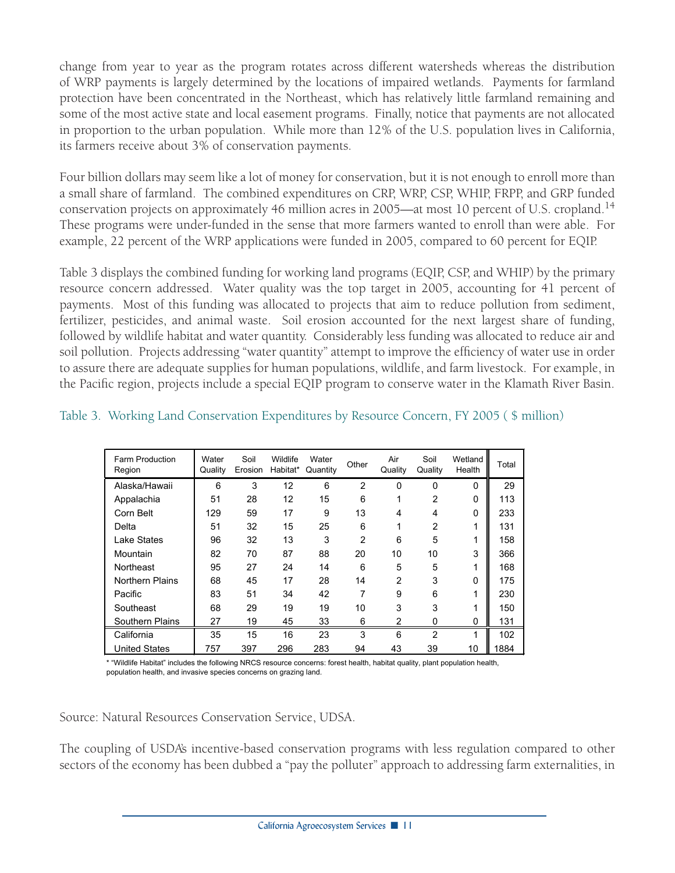change from year to year as the program rotates across different watersheds whereas the distribution of WRP payments is largely determined by the locations of impaired wetlands. Payments for farmland protection have been concentrated in the Northeast, which has relatively little farmland remaining and some of the most active state and local easement programs. Finally, notice that payments are not allocated in proportion to the urban population. While more than 12% of the U.S. population lives in California, its farmers receive about 3% of conservation payments.

Four billion dollars may seem like a lot of money for conservation, but it is not enough to enroll more than a small share of farmland. The combined expenditures on CRP, WRP, CSP, WHIP, FRPP, and GRP funded conservation projects on approximately 46 million acres in 2005—at most 10 percent of U.S. cropland.14 These programs were under-funded in the sense that more farmers wanted to enroll than were able. For example, 22 percent of the WRP applications were funded in 2005, compared to 60 percent for EQIP.

Table 3 displays the combined funding for working land programs (EQIP, CSP, and WHIP) by the primary resource concern addressed. Water quality was the top target in 2005, accounting for 41 percent of payments. Most of this funding was allocated to projects that aim to reduce pollution from sediment, fertilizer, pesticides, and animal waste. Soil erosion accounted for the next largest share of funding, followed by wildlife habitat and water quantity. Considerably less funding was allocated to reduce air and soil pollution. Projects addressing "water quantity" attempt to improve the efficiency of water use in order to assure there are adequate supplies for human populations, wildlife, and farm livestock. For example, in the Pacific region, projects include a special EQIP program to conserve water in the Klamath River Basin.

| Farm Production<br>Region | Water<br>Quality | Soil<br>Erosion | Wildlife<br>Habitat* | Water<br>Quantity | Other          | Air<br>Quality | Soil<br>Quality | Wetland<br>Health | Total |
|---------------------------|------------------|-----------------|----------------------|-------------------|----------------|----------------|-----------------|-------------------|-------|
| Alaska/Hawaii             | 6                | 3               | 12                   | 6                 | $\overline{2}$ | $\mathbf{0}$   | 0               | $\mathbf 0$       | 29    |
| Appalachia                | 51               | 28              | 12                   | 15                | 6              | 1              | 2               | 0                 | 113   |
| Corn Belt                 | 129              | 59              | 17                   | 9                 | 13             | 4              | 4               | 0                 | 233   |
| Delta                     | 51               | 32              | 15                   | 25                | 6              | 1              | 2               | 1                 | 131   |
| Lake States               | 96               | 32              | 13                   | 3                 | $\overline{2}$ | 6              | 5               | 1                 | 158   |
| Mountain                  | 82               | 70              | 87                   | 88                | 20             | 10             | 10              | 3                 | 366   |
| Northeast                 | 95               | 27              | 24                   | 14                | 6              | 5              | 5               |                   | 168   |
| <b>Northern Plains</b>    | 68               | 45              | 17                   | 28                | 14             | 2              | 3               | 0                 | 175   |
| Pacific                   | 83               | 51              | 34                   | 42                | 7              | 9              | 6               | 1                 | 230   |
| Southeast                 | 68               | 29              | 19                   | 19                | 10             | 3              | 3               | 4                 | 150   |
| Southern Plains           | 27               | 19              | 45                   | 33                | 6              | 2              | 0               | 0                 | 131   |
| California                | 35               | 15              | 16                   | 23                | 3              | 6              | 2               | 1                 | 102   |
| <b>United States</b>      | 757              | 397             | 296                  | 283               | 94             | 43             | 39              | 10                | 1884  |

#### Table 3. Working Land Conservation Expenditures by Resource Concern, FY 2005 ( \$ million)

\* "Wildlife Habitat" includes the following NRCS resource concerns: forest health, habitat quality, plant population health, population health, and invasive species concerns on grazing land.

Source: Natural Resources Conservation Service, UDSA.

The coupling of USDA's incentive-based conservation programs with less regulation compared to other sectors of the economy has been dubbed a "pay the polluter" approach to addressing farm externalities, in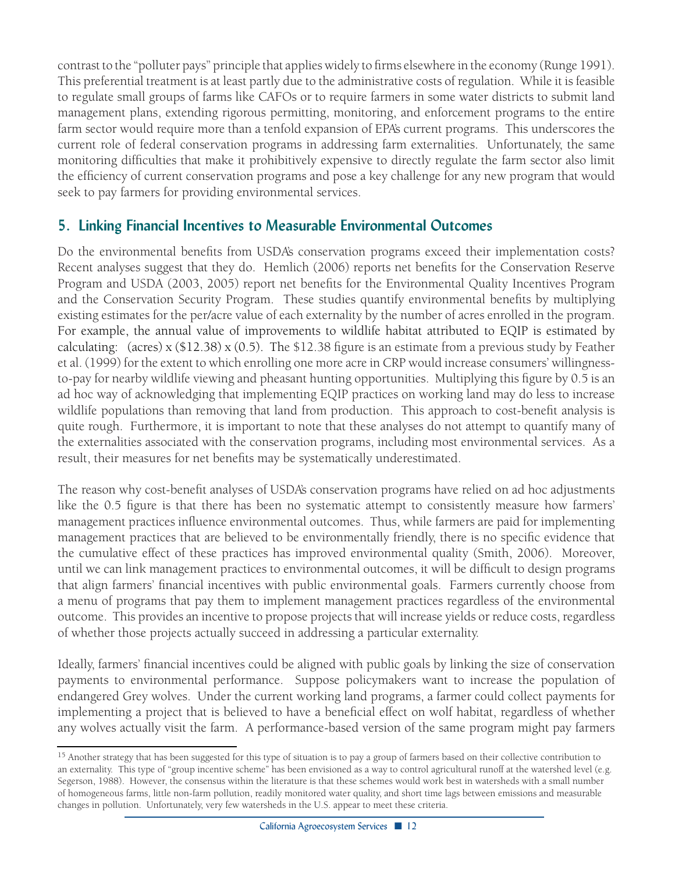contrast to the "polluter pays" principle that applies widely to firms elsewhere in the economy (Runge 1991). This preferential treatment is at least partly due to the administrative costs of regulation. While it is feasible to regulate small groups of farms like CAFOs or to require farmers in some water districts to submit land management plans, extending rigorous permitting, monitoring, and enforcement programs to the entire farm sector would require more than a tenfold expansion of EPA's current programs. This underscores the current role of federal conservation programs in addressing farm externalities. Unfortunately, the same monitoring difficulties that make it prohibitively expensive to directly regulate the farm sector also limit the efficiency of current conservation programs and pose a key challenge for any new program that would seek to pay farmers for providing environmental services.

## **5. Linking Financial Incentives to Measurable Environmental Outcomes**

Do the environmental benefits from USDA's conservation programs exceed their implementation costs? Recent analyses suggest that they do. Hemlich (2006) reports net benefits for the Conservation Reserve Program and USDA (2003, 2005) report net benefits for the Environmental Quality Incentives Program and the Conservation Security Program. These studies quantify environmental benefits by multiplying existing estimates for the per/acre value of each externality by the number of acres enrolled in the program. For example, the annual value of improvements to wildlife habitat attributed to EQIP is estimated by calculating: (acres) x (\$12.38) x (0.5). The \$12.38 figure is an estimate from a previous study by Feather et al. (1999) for the extent to which enrolling one more acre in CRP would increase consumers' willingnessto-pay for nearby wildlife viewing and pheasant hunting opportunities. Multiplying this figure by 0.5 is an ad hoc way of acknowledging that implementing EQIP practices on working land may do less to increase wildlife populations than removing that land from production. This approach to cost-benefit analysis is quite rough. Furthermore, it is important to note that these analyses do not attempt to quantify many of the externalities associated with the conservation programs, including most environmental services. As a result, their measures for net benefits may be systematically underestimated.

The reason why cost-benefit analyses of USDA's conservation programs have relied on ad hoc adjustments like the 0.5 figure is that there has been no systematic attempt to consistently measure how farmers' management practices influence environmental outcomes. Thus, while farmers are paid for implementing management practices that are believed to be environmentally friendly, there is no specific evidence that the cumulative effect of these practices has improved environmental quality (Smith, 2006). Moreover, until we can link management practices to environmental outcomes, it will be difficult to design programs that align farmers' financial incentives with public environmental goals. Farmers currently choose from a menu of programs that pay them to implement management practices regardless of the environmental outcome. This provides an incentive to propose projects that will increase yields or reduce costs, regardless of whether those projects actually succeed in addressing a particular externality.

Ideally, farmers' financial incentives could be aligned with public goals by linking the size of conservation payments to environmental performance. Suppose policymakers want to increase the population of endangered Grey wolves. Under the current working land programs, a farmer could collect payments for implementing a project that is believed to have a beneficial effect on wolf habitat, regardless of whether any wolves actually visit the farm. A performance-based version of the same program might pay farmers

<sup>&</sup>lt;sup>15</sup> Another strategy that has been suggested for this type of situation is to pay a group of farmers based on their collective contribution to an externality. This type of "group incentive scheme" has been envisioned as a way to control agricultural runoff at the watershed level (e.g. Segerson, 1988). However, the consensus within the literature is that these schemes would work best in watersheds with a small number of homogeneous farms, little non-farm pollution, readily monitored water quality, and short time lags between emissions and measurable changes in pollution. Unfortunately, very few watersheds in the U.S. appear to meet these criteria.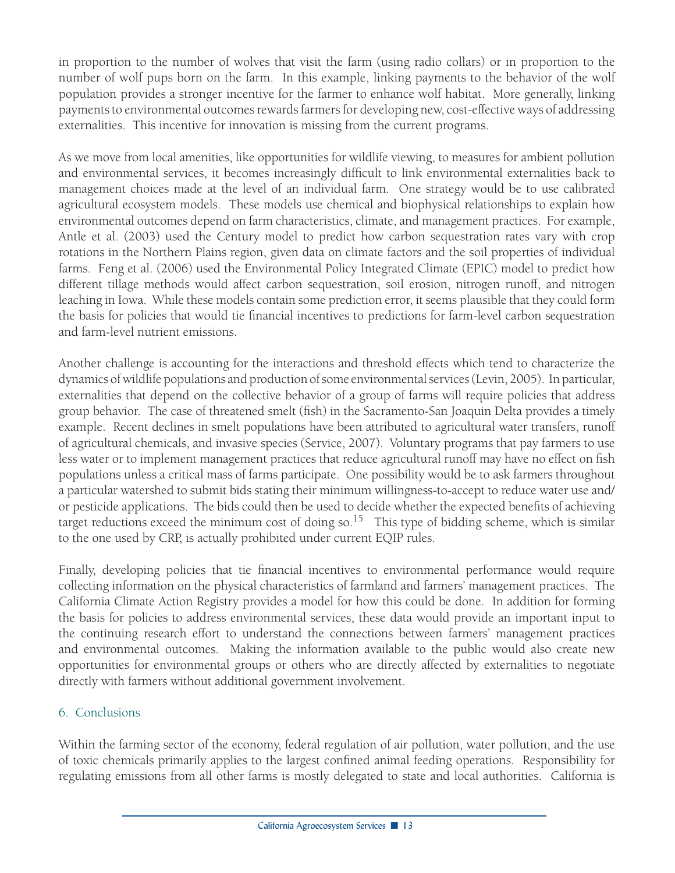in proportion to the number of wolves that visit the farm (using radio collars) or in proportion to the number of wolf pups born on the farm. In this example, linking payments to the behavior of the wolf population provides a stronger incentive for the farmer to enhance wolf habitat. More generally, linking payments to environmental outcomes rewards farmers for developing new, cost-effective ways of addressing externalities. This incentive for innovation is missing from the current programs.

As we move from local amenities, like opportunities for wildlife viewing, to measures for ambient pollution and environmental services, it becomes increasingly difficult to link environmental externalities back to management choices made at the level of an individual farm. One strategy would be to use calibrated agricultural ecosystem models. These models use chemical and biophysical relationships to explain how environmental outcomes depend on farm characteristics, climate, and management practices. For example, Antle et al. (2003) used the Century model to predict how carbon sequestration rates vary with crop rotations in the Northern Plains region, given data on climate factors and the soil properties of individual farms. Feng et al. (2006) used the Environmental Policy Integrated Climate (EPIC) model to predict how different tillage methods would affect carbon sequestration, soil erosion, nitrogen runoff, and nitrogen leaching in Iowa. While these models contain some prediction error, it seems plausible that they could form the basis for policies that would tie financial incentives to predictions for farm-level carbon sequestration and farm-level nutrient emissions.

Another challenge is accounting for the interactions and threshold effects which tend to characterize the dynamics of wildlife populations and production of some environmental services (Levin, 2005). In particular, externalities that depend on the collective behavior of a group of farms will require policies that address group behavior. The case of threatened smelt (fish) in the Sacramento-San Joaquin Delta provides a timely example. Recent declines in smelt populations have been attributed to agricultural water transfers, runoff of agricultural chemicals, and invasive species (Service, 2007). Voluntary programs that pay farmers to use less water or to implement management practices that reduce agricultural runoff may have no effect on fish populations unless a critical mass of farms participate. One possibility would be to ask farmers throughout a particular watershed to submit bids stating their minimum willingness-to-accept to reduce water use and/ or pesticide applications. The bids could then be used to decide whether the expected benefits of achieving target reductions exceed the minimum cost of doing so.<sup>15</sup> This type of bidding scheme, which is similar to the one used by CRP, is actually prohibited under current EQIP rules.

Finally, developing policies that tie financial incentives to environmental performance would require collecting information on the physical characteristics of farmland and farmers' management practices. The California Climate Action Registry provides a model for how this could be done. In addition for forming the basis for policies to address environmental services, these data would provide an important input to the continuing research effort to understand the connections between farmers' management practices and environmental outcomes. Making the information available to the public would also create new opportunities for environmental groups or others who are directly affected by externalities to negotiate directly with farmers without additional government involvement.

#### 6. Conclusions

Within the farming sector of the economy, federal regulation of air pollution, water pollution, and the use of toxic chemicals primarily applies to the largest confined animal feeding operations. Responsibility for regulating emissions from all other farms is mostly delegated to state and local authorities. California is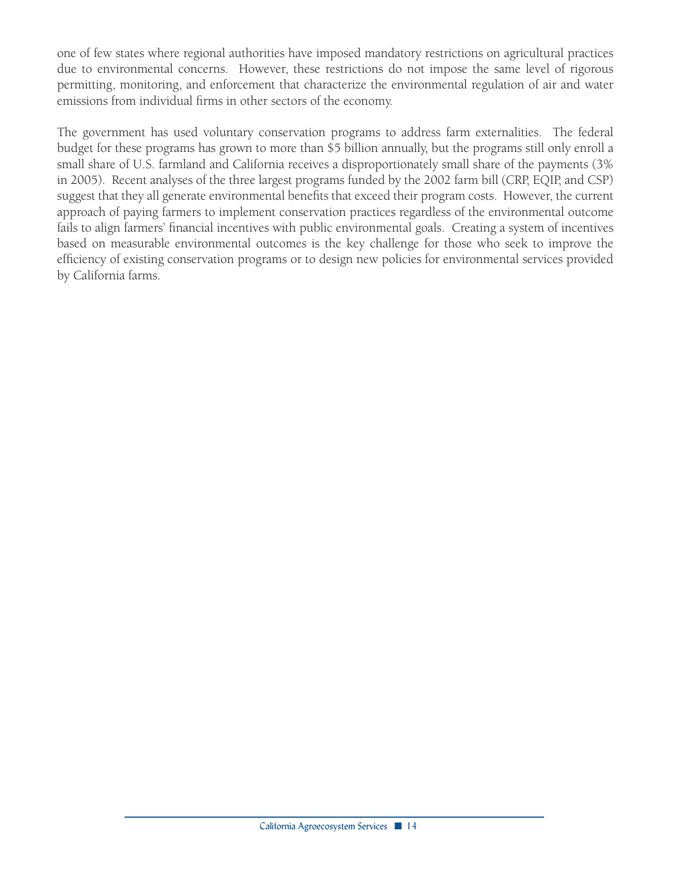one of few states where regional authorities have imposed mandatory restrictions on agricultural practices due to environmental concerns. However, these restrictions do not impose the same level of rigorous permitting, monitoring, and enforcement that characterize the environmental regulation of air and water emissions from individual firms in other sectors of the economy.

The government has used voluntary conservation programs to address farm externalities. The federal budget for these programs has grown to more than \$5 billion annually, but the programs still only enroll a small share of U.S. farmland and California receives a disproportionately small share of the payments (3% in 2005). Recent analyses of the three largest programs funded by the 2002 farm bill (CRP, EQIP, and CSP) suggest that they all generate environmental benefits that exceed their program costs. However, the current approach of paying farmers to implement conservation practices regardless of the environmental outcome fails to align farmers' financial incentives with public environmental goals. Creating a system of incentives based on measurable environmental outcomes is the key challenge for those who seek to improve the efficiency of existing conservation programs or to design new policies for environmental services provided by California farms.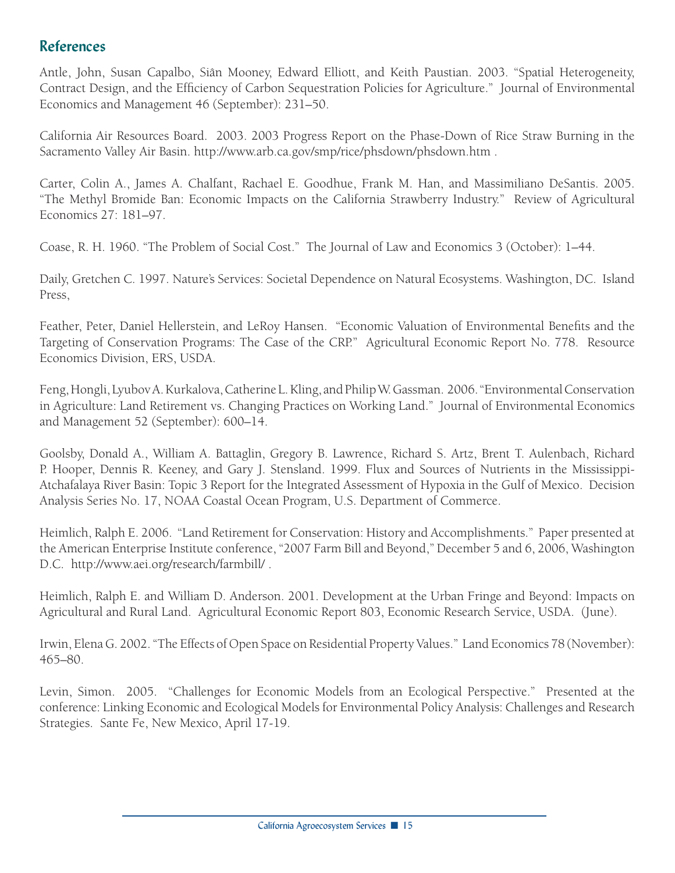## **References**

Antle, John, Susan Capalbo, Siân Mooney, Edward Elliott, and Keith Paustian. 2003. "Spatial Heterogeneity, Contract Design, and the Efficiency of Carbon Sequestration Policies for Agriculture." Journal of Environmental Economics and Management 46 (September): 231–50.

California Air Resources Board. 2003. 2003 Progress Report on the Phase-Down of Rice Straw Burning in the Sacramento Valley Air Basin. http://www.arb.ca.gov/smp/rice/phsdown/phsdown.htm .

Carter, Colin A., James A. Chalfant, Rachael E. Goodhue, Frank M. Han, and Massimiliano DeSantis. 2005. "The Methyl Bromide Ban: Economic Impacts on the California Strawberry Industry." Review of Agricultural Economics 27: 181–97.

Coase, R. H. 1960. "The Problem of Social Cost." The Journal of Law and Economics 3 (October): 1–44.

Daily, Gretchen C. 1997. Nature's Services: Societal Dependence on Natural Ecosystems. Washington, DC. Island Press,

Feather, Peter, Daniel Hellerstein, and LeRoy Hansen. "Economic Valuation of Environmental Benefits and the Targeting of Conservation Programs: The Case of the CRP." Agricultural Economic Report No. 778. Resource Economics Division, ERS, USDA.

Feng, Hongli, Lyubov A. Kurkalova, Catherine L. Kling, and Philip W. Gassman. 2006. "Environmental Conservation in Agriculture: Land Retirement vs. Changing Practices on Working Land." Journal of Environmental Economics and Management 52 (September): 600–14.

Goolsby, Donald A., William A. Battaglin, Gregory B. Lawrence, Richard S. Artz, Brent T. Aulenbach, Richard P. Hooper, Dennis R. Keeney, and Gary J. Stensland. 1999. Flux and Sources of Nutrients in the Mississippi-Atchafalaya River Basin: Topic 3 Report for the Integrated Assessment of Hypoxia in the Gulf of Mexico. Decision Analysis Series No. 17, NOAA Coastal Ocean Program, U.S. Department of Commerce.

Heimlich, Ralph E. 2006. "Land Retirement for Conservation: History and Accomplishments." Paper presented at the American Enterprise Institute conference, "2007 Farm Bill and Beyond," December 5 and 6, 2006, Washington D.C. http://www.aei.org/research/farmbill/ .

Heimlich, Ralph E. and William D. Anderson. 2001. Development at the Urban Fringe and Beyond: Impacts on Agricultural and Rural Land. Agricultural Economic Report 803, Economic Research Service, USDA. (June).

Irwin, Elena G. 2002. "The Effects of Open Space on Residential Property Values." Land Economics 78 (November): 465–80.

Levin, Simon. 2005. "Challenges for Economic Models from an Ecological Perspective." Presented at the conference: Linking Economic and Ecological Models for Environmental Policy Analysis: Challenges and Research Strategies. Sante Fe, New Mexico, April 17-19.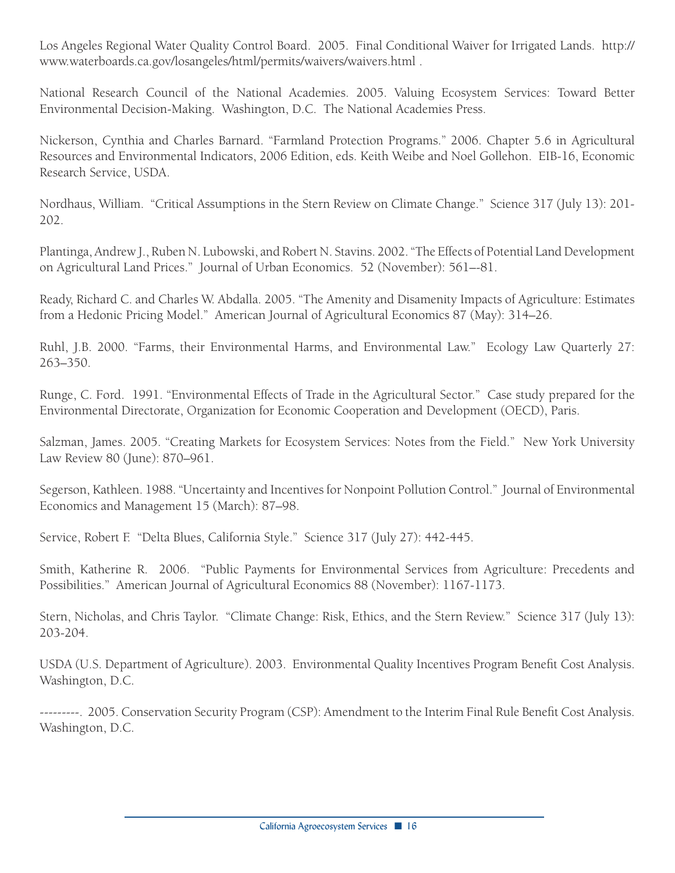Los Angeles Regional Water Quality Control Board. 2005. Final Conditional Waiver for Irrigated Lands. http:// www.waterboards.ca.gov/losangeles/html/permits/waivers/waivers.html .

National Research Council of the National Academies. 2005. Valuing Ecosystem Services: Toward Better Environmental Decision-Making. Washington, D.C. The National Academies Press.

Nickerson, Cynthia and Charles Barnard. "Farmland Protection Programs." 2006. Chapter 5.6 in Agricultural Resources and Environmental Indicators, 2006 Edition, eds. Keith Weibe and Noel Gollehon. EIB-16, Economic Research Service, USDA.

Nordhaus, William. "Critical Assumptions in the Stern Review on Climate Change." Science 317 (July 13): 201- 202.

Plantinga, Andrew J., Ruben N. Lubowski, and Robert N. Stavins. 2002. "The Effects of Potential Land Development on Agricultural Land Prices." Journal of Urban Economics. 52 (November): 561–-81.

Ready, Richard C. and Charles W. Abdalla. 2005. "The Amenity and Disamenity Impacts of Agriculture: Estimates from a Hedonic Pricing Model." American Journal of Agricultural Economics 87 (May): 314–26.

Ruhl, J.B. 2000. "Farms, their Environmental Harms, and Environmental Law." Ecology Law Quarterly 27: 263–350.

Runge, C. Ford. 1991. "Environmental Effects of Trade in the Agricultural Sector." Case study prepared for the Environmental Directorate, Organization for Economic Cooperation and Development (OECD), Paris.

Salzman, James. 2005. "Creating Markets for Ecosystem Services: Notes from the Field." New York University Law Review 80 (June): 870–961.

Segerson, Kathleen. 1988. "Uncertainty and Incentives for Nonpoint Pollution Control." Journal of Environmental Economics and Management 15 (March): 87–98.

Service, Robert F. "Delta Blues, California Style." Science 317 (July 27): 442-445.

Smith, Katherine R. 2006. "Public Payments for Environmental Services from Agriculture: Precedents and Possibilities." American Journal of Agricultural Economics 88 (November): 1167-1173.

Stern, Nicholas, and Chris Taylor. "Climate Change: Risk, Ethics, and the Stern Review." Science 317 (July 13): 203-204.

USDA (U.S. Department of Agriculture). 2003. Environmental Quality Incentives Program Benefit Cost Analysis. Washington, D.C.

---------. 2005. Conservation Security Program (CSP): Amendment to the Interim Final Rule Benefit Cost Analysis. Washington, D.C.